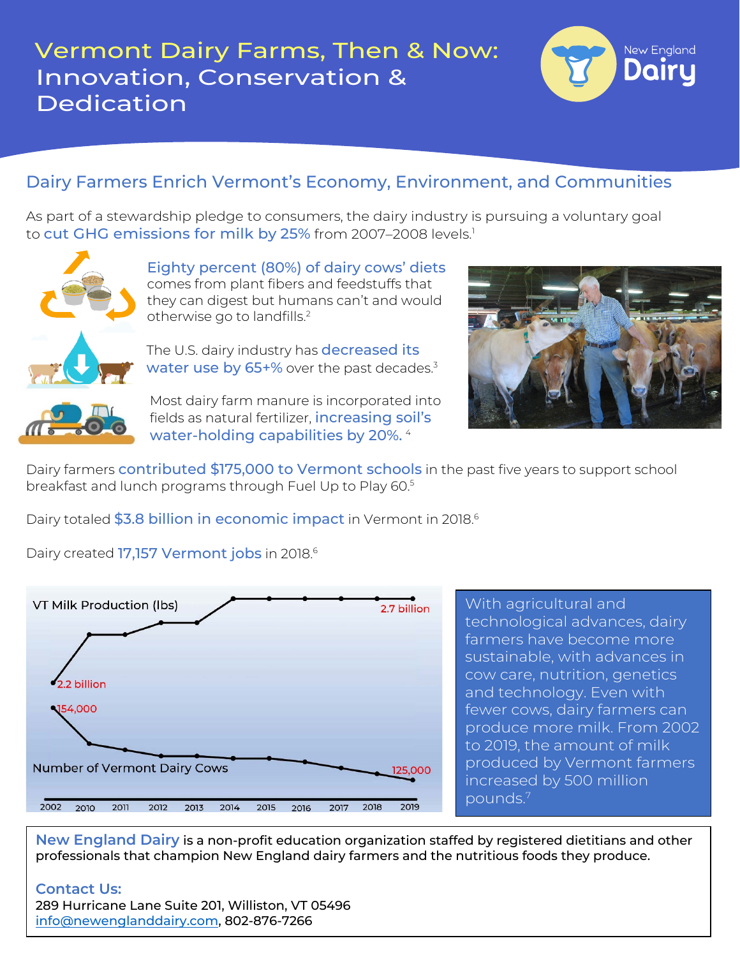

## Dairy Farmers Enrich Vermont's Economy, Environment, and Communities

As part of a stewardship pledge to consumers, the dairy industry is pursuing a voluntary goal to cut GHG emissions for milk by 25% from 2007-2008 levels.<sup>1</sup>



Eighty percent (80%) of dairy cows' diets comes from plant fibers and feedstuffs that they can digest but humans can't and would otherwise go to landfills.2

The U.S. dairy industry has **decreased its** water use by  $65+%$  over the past decades. $3$ 



Most dairy farm manure is incorporated into fields as natural fertilizer, increasing soil's water-holding capabilities by 20%. <sup>4</sup>



Dairy farmers contributed \$175,000 to Vermont schools in the past five years to support school breakfast and lunch programs through Fuel Up to Play 60.<sup>5</sup>

Dairy totaled \$3.8 billion in economic impact in Vermont in 2018.<sup>6</sup>

Dairy created 17,157 Vermont jobs in 2018.<sup>6</sup>



With agricultural and technological advances, dairy farmers have become more sustainable, with advances in cow care, nutrition, genetics and technology. Even with fewer cows, dairy farmers can produce more milk. From 2002 to 2019, the amount of milk produced by Vermont farmers increased by 500 million pounds. 7

**New England Dairy** is a non-profit education organization staffed by registered dietitians and other professionals that champion New England dairy farmers and the nutritious foods they produce.

#### **Contact Us:**

289 Hurricane Lane Suite 201, Williston, VT 05496 [info@newenglanddairy.com,](mailto:info@newenglanddairy.com) 802-876-7266